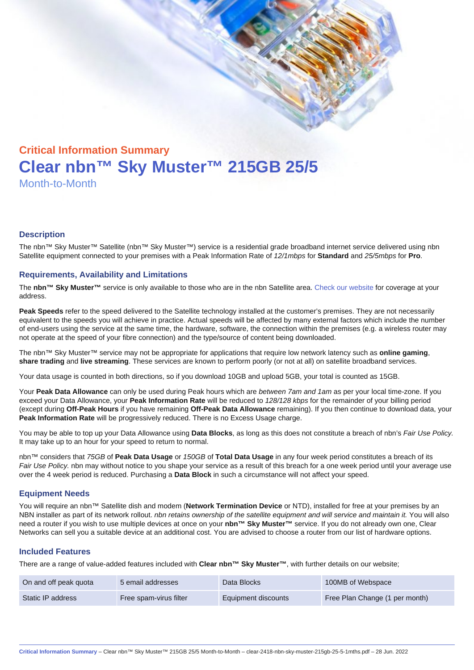# Critical Information Summary Clear nbn™ Sky Muster™ 215GB 25/5 Month-to-Month

#### **Description**

The nbn™ Sky Muster™ Satellite (nbn™ Sky Muster™) service is a residential grade broadband internet service delivered using nbn Satellite equipment connected to your premises with a Peak Information Rate of 12/1mbps for Standard and 25/5mbps for Pro.

#### Requirements, Availability and Limitations

The nbn™ Sky Muster™ service is only available to those who are in the nbn Satellite area. [Check our website](https://www.clear.com.au/business/nbn-sky-muster/availability-coverage/) for coverage at your address.

Peak Speeds refer to the speed delivered to the Satellite technology installed at the customer's premises. They are not necessarily equivalent to the speeds you will achieve in practice. Actual speeds will be affected by many external factors which include the number of end-users using the service at the same time, the hardware, software, the connection within the premises (e.g. a wireless router may not operate at the speed of your fibre connection) and the type/source of content being downloaded.

The nbn™ Sky Muster™ service may not be appropriate for applications that require low network latency such as online gaming , share trading and live streaming . These services are known to perform poorly (or not at all) on satellite broadband services.

Your data usage is counted in both directions, so if you download 10GB and upload 5GB, your total is counted as 15GB.

Your Peak Data Allowance can only be used during Peak hours which are between 7am and 1am as per your local time-zone. If you exceed your Data Allowance, your Peak Information Rate will be reduced to 128/128 kbps for the remainder of your billing period (except during Off-Peak Hours if you have remaining Off-Peak Data Allowance remaining). If you then continue to download data, your Peak Information Rate will be progressively reduced. There is no Excess Usage charge.

You may be able to top up your Data Allowance using Data Blocks , as long as this does not constitute a breach of nbn's Fair Use Policy. It may take up to an hour for your speed to return to normal.

nbn™ considers that 75GB of Peak Data Usage or 150GB of Total Data Usage in any four week period constitutes a breach of its Fair Use Policy. nbn may without notice to you shape your service as a result of this breach for a one week period until your average use over the 4 week period is reduced. Purchasing a Data Block in such a circumstance will not affect your speed.

#### Equipment Needs

You will require an nbn™ Satellite dish and modem (Network Termination Device or NTD), installed for free at your premises by an NBN installer as part of its network rollout. nbn retains ownership of the satellite equipment and will service and maintain it. You will also need a router if you wish to use multiple devices at once on your nbn™ Sky Muster™ service. If you do not already own one, Clear Networks can sell you a suitable device at an additional cost. You are advised to choose a router from our list of hardware options.

#### Included Features

There are a range of value-added features included with Clear nbn™ Sky Muster™ , with further details on our website;

| On and off peak quota | 5 email addresses      | Data Blocks         | 100MB of Webspace              |
|-----------------------|------------------------|---------------------|--------------------------------|
| Static IP address     | Free spam-virus filter | Equipment discounts | Free Plan Change (1 per month) |